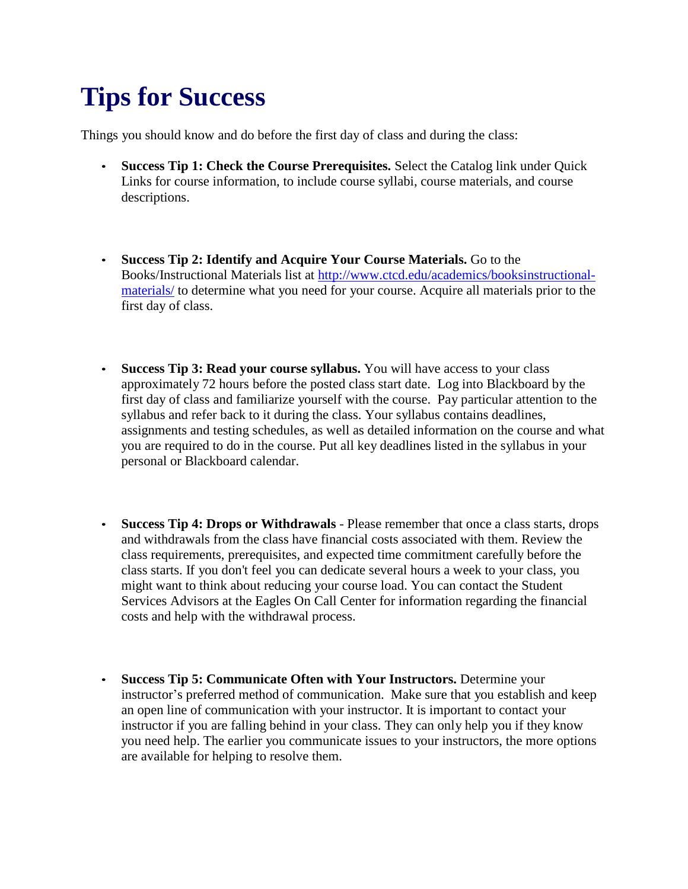## **Tips for Success**

Things you should know and do before the first day of class and during the class:

- **Success Tip 1: Check the Course Prerequisites.** Select the Catalog link under Quick Links for course information, to include course syllabi, course materials, and course descriptions.
- **Success Tip 2: Identify and Acquire Your Course Materials.** Go to the Books/Instructional Materials list at [http://www.ctcd.edu/academics/booksinstructional](http://www.ctcd.edu/academics/booksinstructional-materials/)[materials/](http://www.ctcd.edu/academics/booksinstructional-materials/) to determine what you need for your course. Acquire all materials prior to the first day of class.
- **Success Tip 3: Read your course syllabus.** You will have access to your class approximately 72 hours before the posted class start date. Log into Blackboard by the first day of class and familiarize yourself with the course. Pay particular attention to the syllabus and refer back to it during the class. Your syllabus contains deadlines, assignments and testing schedules, as well as detailed information on the course and what you are required to do in the course. Put all key deadlines listed in the syllabus in your personal or Blackboard calendar.
- **Success Tip 4: Drops or Withdrawals**  Please remember that once a class starts, drops and withdrawals from the class have financial costs associated with them. Review the class requirements, prerequisites, and expected time commitment carefully before the class starts. If you don't feel you can dedicate several hours a week to your class, you might want to think about reducing your course load. You can contact the Student Services Advisors at the Eagles On Call Center for information regarding the financial costs and help with the withdrawal process.
- **Success Tip 5: Communicate Often with Your Instructors.** Determine your instructor's preferred method of communication. Make sure that you establish and keep an open line of communication with your instructor. It is important to contact your instructor if you are falling behind in your class. They can only help you if they know you need help. The earlier you communicate issues to your instructors, the more options are available for helping to resolve them.